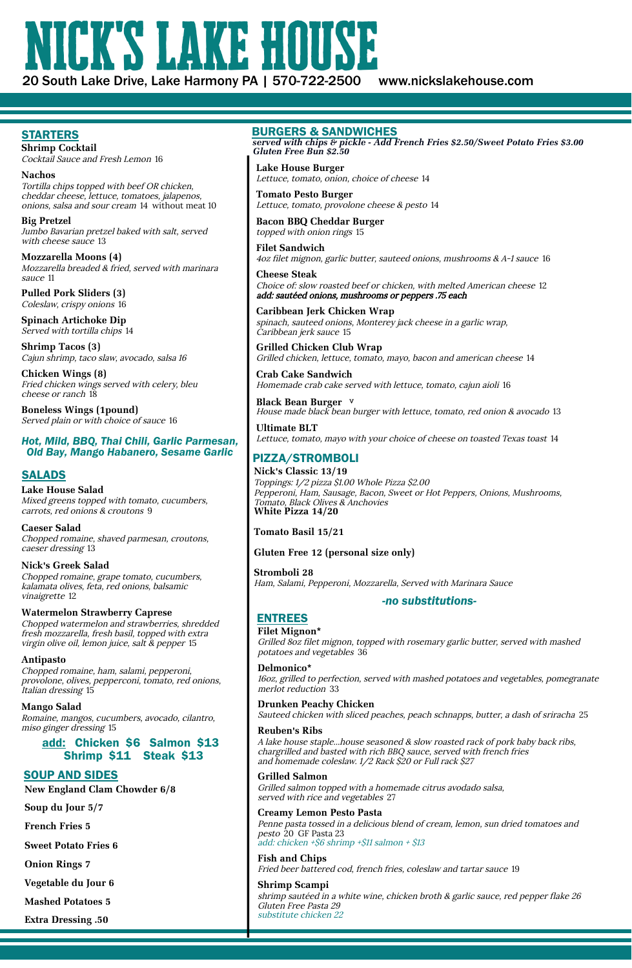# **Nick's Lake House** 20 South Lake Drive, Lake Harmony PA | 570-722-2500 www.nickslakehouse.com

#### **STARTERS**

#### **SALADS**

#### **BURGERS & SANDWICHES**

# **PIZZA/STROMBOLI**

**Shrimp Cocktail** Cocktail Sauce and Fresh Lemon 16

**Nachos** Tortilla chips topped with beef OR chicken, cheddar cheese, lettuce, tomatoes, jalapenos, onions, salsa and sour cream 14 without meat 10

**Big Pretzel** Jumbo Bavarian pretzel baked with salt, served with cheese sauce 13

**Mozzarella Moons (4)** Mozzarella breaded & fried, served with marinara sauce 11

**Pulled Pork Sliders (3)** Coleslaw, crispy onions 16

**Spinach Artichoke Dip** Served with tortilla chips 14

**Shrimp Tacos (3)** Cajun shrimp, taco slaw, avocado, salsa 16

**Chicken Wings (8)** Fried chicken wings served with celery, bleu cheese or ranch 18

**Boneless Wings (1pound)** Served plain or with choice of sauce 16 **Lake House Burger** Lettuce, tomato, onion, choice of cheese 14

**Tomato Pesto Burger** Lettuce, tomato, provolone cheese & pesto 14

**Bacon BBQ Cheddar Burger** topped with onion rings 15

**Filet Sandwich** 4oz filet mignon, garlic butter, sauteed onions, mushrooms & A-1 sauce 16

**Cheese Steak** Choice of: slow roasted beef or chicken, with melted American cheese 12 add: sautéed onions, mushrooms or peppers .75 each

**Caribbean Jerk Chicken Wrap** spinach, sauteed onions, Monterey jack cheese in <sup>a</sup> garlic wrap, Caribbean jerk sauce 15

**Grilled Chicken Club Wrap** Grilled chicken, lettuce, tomato, mayo, bacon and american cheese 14

**Crab Cake Sandwich** Homemade crab cake served with lettuce, tomato, cajun aioli 16

**Black Bean Burger** House made black bean burger with lettuce, tomato, red onion & avocado 13

**Ultimate BLT** Lettuce, tomato, mayo with your choice of cheese on toasted Texas toast 14

Penne pasta tossed in <sup>a</sup> delicious blend of cream, lemon, sun dried tomatoes and pesto 20 GF Pasta 23 add: chicken + $$6$  shrimp + $$11$  salmon +  $$13$ 

**Lake House Salad** Mixed greens topped with tomato, cucumbers, carrots, red onions & croutons 9

**Caeser Salad** Chopped romaine, shaved parmesan, croutons, caeser dressing 13

**Nick's Greek Salad** Chopped romaine, grape tomato, cucumbers, kalamata olives, feta, red onions, balsamic vinaigrette 12

# **Watermelon Strawberry Caprese**

Chopped watermelon and strawberries, shredded fresh mozzarella, fresh basil, topped with extra virgin olive oil, lemon juice, salt & pepper 15

#### **Antipasto**

Chopped romaine, ham, salami, pepperoni, provolone, olives, pepperconi, tomato, red onions, Italian dressing 15

**Mango Salad**

Romaine, mangos, cucumbers, avocado, cilantro, miso ginger dressing 15

**Nick's Classic 13/19** Toppings: 1/2 pizza \$1.00 Whole Pizza \$2.00 Pepperoni, Ham, Sausage, Bacon, Sweet or Hot Peppers, Onions, Mushrooms, Tomato, Black Olives & Anchovies **White Pizza 14/20**

**Tomato Basil 15/21**

**Gluten Free 12 (personal size only)**

**Stromboli 28** Ham, Salami, Pepperoni, Mozzarella, Served with Marinara Sauce

## **SOUP AND SIDES**

#### **Filet Mignon\***

Grilled 8oz filet mignon, topped with rosemary garlic butter, served with mashed potatoes and vegetables 36

#### **Delmonico\***

16oz, grilled to perfection, served with mashed potatoes and vegetables, pomegranate merlot reduction 33

#### **Drunken Peachy Chicken**

Sauteed chicken with sliced peaches, peach schnapps, butter, <sup>a</sup> dash of sriracha 25

#### **Reuben's Ribs**

A lake house staple...house seasoned & slow roasted rack of pork baby back ribs, chargrilled and basted with rich BBQ sauce, served with french fries and homemade coleslaw. 1/2 Rack \$20 or Full rack \$27

#### **Grilled Salmon**

Grilled salmon topped with <sup>a</sup> homemade citrus avodado salsa, served with rice and vegetables 27

#### **Creamy Lemon Pesto Pasta**

**Fish and Chips** Fried beer battered cod, french fries, coleslaw and tartar sauce 19

**Shrimp Scampi** shrimp sautéed in <sup>a</sup> white wine, chicken broth & garlic sauce, red pepper flake 26 Gluten Free Pasta 29 substitute chicken 22

### **ENTREES**

**New England Clam Chowder 6/8**

**Soup du Jour 5/7**

**French Fries 5**

**Sweet Potato Fries 6**

**Onion Rings 7**

**Vegetable du Jour 6**

**Mashed Potatoes 5**

**Extra Dressing .50**

*served with chips & pickle - Add French Fries \$2.50/Sweet Potato Fries \$3.00 Gluten Free Bun \$2.50*

#### *Hot, Mild, BBQ, Thai Chili, Garlic Parmesan, Old Bay, Mango Habanero, Sesame Garlic*

**add: Chicken \$6 Salmon \$13 Shrimp \$11 Steak \$13**

#### *-no substitutions-*